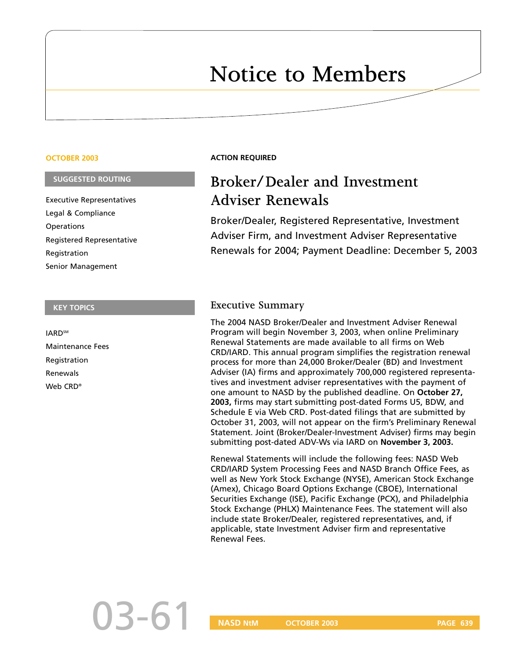# **Notice to Members**

#### **OCTOBER 2003**

#### **SUGGESTED ROUTING**

Executive Representatives Legal & Compliance **Operations** Registered Representative Registration Senior Management

#### **KEY TOPICS**

**IARD<sup>SM</sup>** Maintenance Fees Registration Renewals Web CRD®

#### **ACTION REQUIRED**

# **Broker/Dealer and Investment Adviser Renewals**

Broker/Dealer, Registered Representative, Investment Adviser Firm, and Investment Adviser Representative Renewals for 2004; Payment Deadline: December 5, 2003

#### **Executive Summary**

The 2004 NASD Broker/Dealer and Investment Adviser Renewal Program will begin November 3, 2003, when online Preliminary Renewal Statements are made available to all firms on Web CRD/IARD. This annual program simplifies the registration renewal process for more than 24,000 Broker/Dealer (BD) and Investment Adviser (IA) firms and approximately 700,000 registered representatives and investment adviser representatives with the payment of one amount to NASD by the published deadline. On **October 27, 2003,** firms may start submitting post-dated Forms U5, BDW, and Schedule E via Web CRD. Post-dated filings that are submitted by October 31, 2003, will not appear on the firm's Preliminary Renewal Statement. Joint (Broker/Dealer-Investment Adviser) firms may begin submitting post-dated ADV-Ws via IARD on **November 3, 2003.**

Renewal Statements will include the following fees: NASD Web CRD/IARD System Processing Fees and NASD Branch Office Fees, as well as New York Stock Exchange (NYSE), American Stock Exchange (Amex), Chicago Board Options Exchange (CBOE), International Securities Exchange (ISE), Pacific Exchange (PCX), and Philadelphia Stock Exchange (PHLX) Maintenance Fees. The statement will also include state Broker/Dealer, registered representatives, and, if applicable, state Investment Adviser firm and representative Renewal Fees.

03-61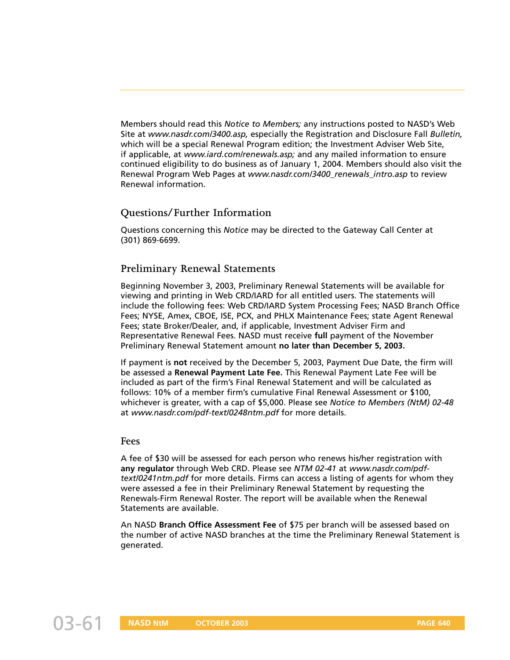Members should read this *Notice to Members;* any instructions posted to NASD's Web Site at *www.nasdr.com/3400.asp,* especially the Registration and Disclosure Fall *Bulletin,* which will be a special Renewal Program edition; the Investment Adviser Web Site, if applicable, at *www.iard.com/renewals.asp;* and any mailed information to ensure continued eligibility to do business as of January 1, 2004. Members should also visit the Renewal Program Web Pages at *www.nasdr.com/3400\_renewals\_intro.asp* to review Renewal information.

# **Questions/Further Information**

Questions concerning this *Notice* may be directed to the Gateway Call Center at (301) 869-6699.

# **Preliminary Renewal Statements**

Beginning November 3, 2003, Preliminary Renewal Statements will be available for viewing and printing in Web CRD/IARD for all entitled users. The statements will include the following fees: Web CRD/IARD System Processing Fees; NASD Branch Office Fees; NYSE, Amex, CBOE, ISE, PCX, and PHLX Maintenance Fees; state Agent Renewal Fees; state Broker/Dealer, and, if applicable, Investment Adviser Firm and Representative Renewal Fees. NASD must receive **full** payment of the November Preliminary Renewal Statement amount **no later than December 5, 2003.**

If payment is **not** received by the December 5, 2003, Payment Due Date, the firm will be assessed a **Renewal Payment Late Fee.** This Renewal Payment Late Fee will be included as part of the firm's Final Renewal Statement and will be calculated as follows: 10% of a member firm's cumulative Final Renewal Assessment or \$100, whichever is greater, with a cap of \$5,000. Please see *Notice to Members (NtM) 02-48* at *www.nasdr.com/pdf-text/0248ntm.pdf* for more details.

#### **Fees**

A fee of \$30 will be assessed for each person who renews his/her registration with **any regulator** through Web CRD. Please see *NTM 02-41* at *www.nasdr.com/pdftext/0241ntm.pdf* for more details. Firms can access a listing of agents for whom they were assessed a fee in their Preliminary Renewal Statement by requesting the Renewals-Firm Renewal Roster. The report will be available when the Renewal Statements are available.

An NASD **Branch Office Assessment Fee** of \$75 per branch will be assessed based on the number of active NASD branches at the time the Preliminary Renewal Statement is generated.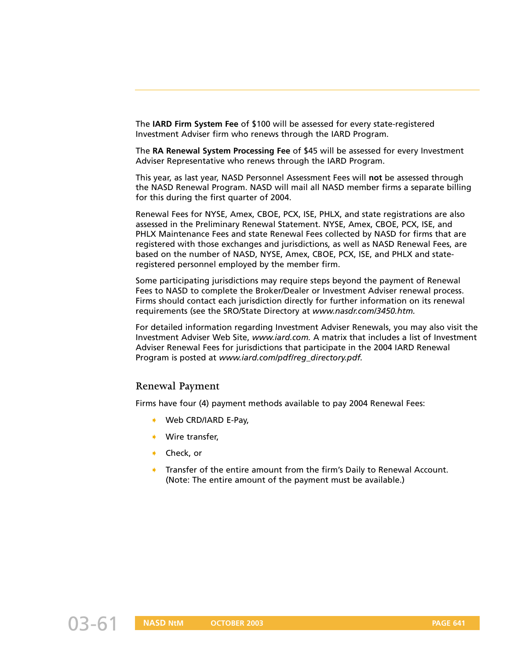The **IARD Firm System Fee** of \$100 will be assessed for every state-registered Investment Adviser firm who renews through the IARD Program.

The **RA Renewal System Processing Fee** of \$45 will be assessed for every Investment Adviser Representative who renews through the IARD Program.

This year, as last year, NASD Personnel Assessment Fees will **not** be assessed through the NASD Renewal Program. NASD will mail all NASD member firms a separate billing for this during the first quarter of 2004.

Renewal Fees for NYSE, Amex, CBOE, PCX, ISE, PHLX, and state registrations are also assessed in the Preliminary Renewal Statement. NYSE, Amex, CBOE, PCX, ISE, and PHLX Maintenance Fees and state Renewal Fees collected by NASD for firms that are registered with those exchanges and jurisdictions, as well as NASD Renewal Fees, are based on the number of NASD, NYSE, Amex, CBOE, PCX, ISE, and PHLX and stateregistered personnel employed by the member firm.

Some participating jurisdictions may require steps beyond the payment of Renewal Fees to NASD to complete the Broker/Dealer or Investment Adviser renewal process. Firms should contact each jurisdiction directly for further information on its renewal requirements (see the SRO/State Directory at *www.nasdr.com/3450.htm.*

For detailed information regarding Investment Adviser Renewals, you may also visit the Investment Adviser Web Site, *www.iard.com.* A matrix that includes a list of Investment Adviser Renewal Fees for jurisdictions that participate in the 2004 IARD Renewal Program is posted at *www.iard.com/pdf/reg\_directory.pdf.*

#### **Renewal Payment**

Firms have four (4) payment methods available to pay 2004 Renewal Fees:

- ➧ Web CRD/IARD E-Pay,
- Wire transfer.
- ➧ Check, or
- ➧ Transfer of the entire amount from the firm's Daily to Renewal Account. (Note: The entire amount of the payment must be available.)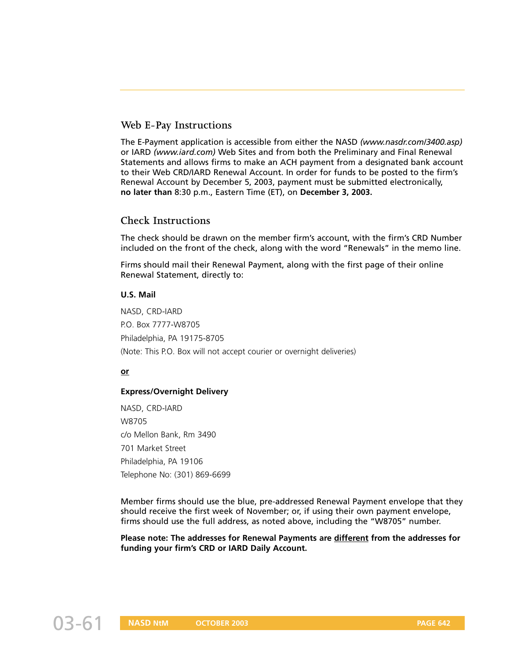# **Web E-Pay Instructions**

The E-Payment application is accessible from either the NASD *(www.nasdr.com/3400.asp)* or IARD *(www.iard.com)* Web Sites and from both the Preliminary and Final Renewal Statements and allows firms to make an ACH payment from a designated bank account to their Web CRD/IARD Renewal Account. In order for funds to be posted to the firm's Renewal Account by December 5, 2003, payment must be submitted electronically, **no later than** 8:30 p.m., Eastern Time (ET), on **December 3, 2003.**

#### **Check Instructions**

The check should be drawn on the member firm's account, with the firm's CRD Number included on the front of the check, along with the word "Renewals" in the memo line.

Firms should mail their Renewal Payment, along with the first page of their online Renewal Statement, directly to:

#### **U.S. Mail**

NASD, CRD-IARD P.O. Box 7777-W8705 Philadelphia, PA 19175-8705 (Note: This P.O. Box will not accept courier or overnight deliveries)

#### **or**

#### **Express/Overnight Delivery**

NASD, CRD-IARD W8705 c/o Mellon Bank, Rm 3490 701 Market Street Philadelphia, PA 19106 Telephone No: (301) 869-6699

Member firms should use the blue, pre-addressed Renewal Payment envelope that they should receive the first week of November; or, if using their own payment envelope, firms should use the full address, as noted above, including the "W8705" number.

**Please note: The addresses for Renewal Payments are different from the addresses for funding your firm's CRD or IARD Daily Account.**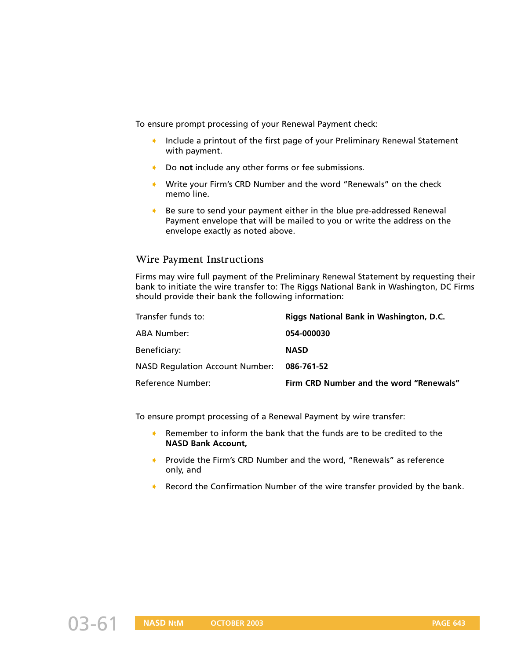To ensure prompt processing of your Renewal Payment check:

- ➧ Include a printout of the first page of your Preliminary Renewal Statement with payment.
- ➧ Do **not** include any other forms or fee submissions.
- ➧ Write your Firm's CRD Number and the word "Renewals" on the check memo line.
- Be sure to send your payment either in the blue pre-addressed Renewal Payment envelope that will be mailed to you or write the address on the envelope exactly as noted above.

#### **Wire Payment Instructions**

Firms may wire full payment of the Preliminary Renewal Statement by requesting their bank to initiate the wire transfer to: The Riggs National Bank in Washington, DC Firms should provide their bank the following information:

| Transfer funds to:                     | Riggs National Bank in Washington, D.C. |
|----------------------------------------|-----------------------------------------|
| ABA Number:                            | 054-000030                              |
| Beneficiary:                           | <b>NASD</b>                             |
| <b>NASD Regulation Account Number:</b> | 086-761-52                              |
| Reference Number:                      | Firm CRD Number and the word "Renewals" |

To ensure prompt processing of a Renewal Payment by wire transfer:

- ➧ Remember to inform the bank that the funds are to be credited to the **NASD Bank Account,**
- Provide the Firm's CRD Number and the word, "Renewals" as reference only, and
- Record the Confirmation Number of the wire transfer provided by the bank.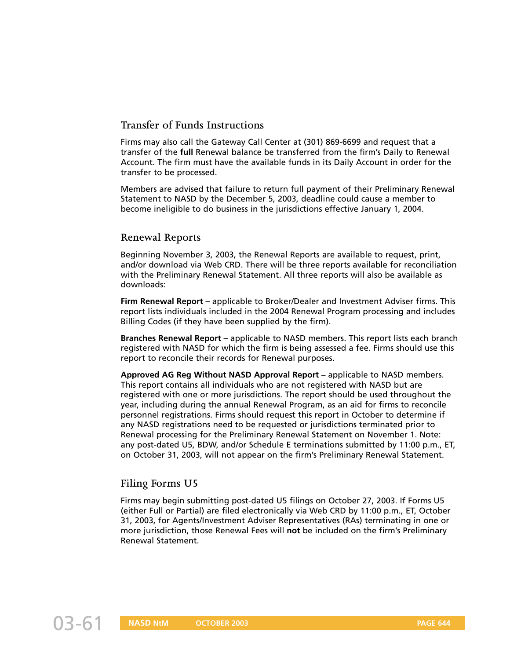# **Transfer of Funds Instructions**

Firms may also call the Gateway Call Center at (301) 869-6699 and request that a transfer of the **full** Renewal balance be transferred from the firm's Daily to Renewal Account. The firm must have the available funds in its Daily Account in order for the transfer to be processed.

Members are advised that failure to return full payment of their Preliminary Renewal Statement to NASD by the December 5, 2003, deadline could cause a member to become ineligible to do business in the jurisdictions effective January 1, 2004.

# **Renewal Reports**

Beginning November 3, 2003, the Renewal Reports are available to request, print, and/or download via Web CRD. There will be three reports available for reconciliation with the Preliminary Renewal Statement. All three reports will also be available as downloads:

**Firm Renewal Report –** applicable to Broker/Dealer and Investment Adviser firms. This report lists individuals included in the 2004 Renewal Program processing and includes Billing Codes (if they have been supplied by the firm).

**Branches Renewal Report –** applicable to NASD members. This report lists each branch registered with NASD for which the firm is being assessed a fee. Firms should use this report to reconcile their records for Renewal purposes.

**Approved AG Reg Without NASD Approval Report –** applicable to NASD members. This report contains all individuals who are not registered with NASD but are registered with one or more jurisdictions. The report should be used throughout the year, including during the annual Renewal Program, as an aid for firms to reconcile personnel registrations. Firms should request this report in October to determine if any NASD registrations need to be requested or jurisdictions terminated prior to Renewal processing for the Preliminary Renewal Statement on November 1. Note: any post-dated U5, BDW, and/or Schedule E terminations submitted by 11:00 p.m., ET, on October 31, 2003, will not appear on the firm's Preliminary Renewal Statement.

# **Filing Forms U5**

Firms may begin submitting post-dated U5 filings on October 27, 2003. If Forms U5 (either Full or Partial) are filed electronically via Web CRD by 11:00 p.m., ET, October 31, 2003, for Agents/Investment Adviser Representatives (RAs) terminating in one or more jurisdiction, those Renewal Fees will **not** be included on the firm's Preliminary Renewal Statement.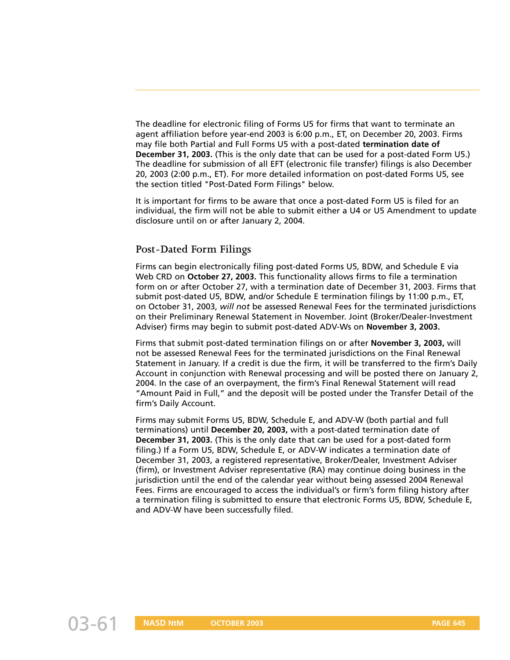The deadline for electronic filing of Forms U5 for firms that want to terminate an agent affiliation before year-end 2003 is 6:00 p.m., ET, on December 20, 2003. Firms may file both Partial and Full Forms U5 with a post-dated **termination date of December 31, 2003.** (This is the only date that can be used for a post-dated Form U5.) The deadline for submission of all EFT (electronic file transfer) filings is also December 20, 2003 (2:00 p.m., ET). For more detailed information on post-dated Forms U5, see the section titled "Post-Dated Form Filings" below.

It is important for firms to be aware that once a post-dated Form U5 is filed for an individual, the firm will not be able to submit either a U4 or U5 Amendment to update disclosure until on or after January 2, 2004.

# **Post-Dated Form Filings**

Firms can begin electronically filing post-dated Forms U5, BDW, and Schedule E via Web CRD on **October 27, 2003.** This functionality allows firms to file a termination form on or after October 27, with a termination date of December 31, 2003. Firms that submit post-dated U5, BDW, and/or Schedule E termination filings by 11:00 p.m., ET, on October 31, 2003, *will not* be assessed Renewal Fees for the terminated jurisdictions on their Preliminary Renewal Statement in November. Joint (Broker/Dealer-Investment Adviser) firms may begin to submit post-dated ADV-Ws on **November 3, 2003.**

Firms that submit post-dated termination filings on or after **November 3, 2003,** will not be assessed Renewal Fees for the terminated jurisdictions on the Final Renewal Statement in January. If a credit is due the firm, it will be transferred to the firm's Daily Account in conjunction with Renewal processing and will be posted there on January 2, 2004. In the case of an overpayment, the firm's Final Renewal Statement will read "Amount Paid in Full," and the deposit will be posted under the Transfer Detail of the firm's Daily Account.

Firms may submit Forms U5, BDW, Schedule E, and ADV-W (both partial and full terminations) until **December 20, 2003,** with a post-dated termination date of **December 31, 2003.** (This is the only date that can be used for a post-dated form filing.) If a Form U5, BDW, Schedule E, or ADV-W indicates a termination date of December 31, 2003, a registered representative, Broker/Dealer, Investment Adviser (firm), or Investment Adviser representative (RA) may continue doing business in the jurisdiction until the end of the calendar year without being assessed 2004 Renewal Fees. Firms are encouraged to access the individual's or firm's form filing history after a termination filing is submitted to ensure that electronic Forms U5, BDW, Schedule E, and ADV-W have been successfully filed.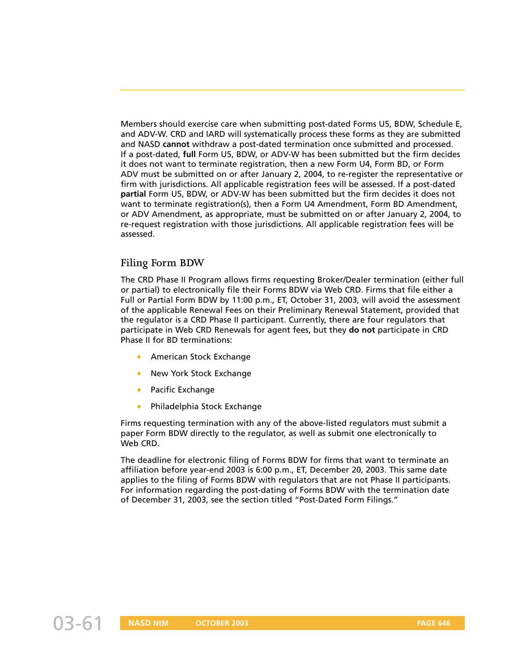Members should exercise care when submitting post-dated Forms U5, BDW, Schedule E, and ADV-W. CRD and IARD will systematically process these forms as they are submitted and NASD **cannot** withdraw a post-dated termination once submitted and processed. If a post-dated, **full** Form U5, BDW, or ADV-W has been submitted but the firm decides it does not want to terminate registration, then a new Form U4, Form BD, or Form ADV must be submitted on or after January 2, 2004, to re-register the representative or firm with jurisdictions. All applicable registration fees will be assessed. If a post-dated **partial** Form U5, BDW, or ADV-W has been submitted but the firm decides it does not want to terminate registration(s), then a Form U4 Amendment, Form BD Amendment, or ADV Amendment, as appropriate, must be submitted on or after January 2, 2004, to re-request registration with those jurisdictions. All applicable registration fees will be assessed.

# **Filing Form BDW**

The CRD Phase II Program allows firms requesting Broker/Dealer termination (either full or partial) to electronically file their Forms BDW via Web CRD. Firms that file either a Full or Partial Form BDW by 11:00 p.m., ET, October 31, 2003, will avoid the assessment of the applicable Renewal Fees on their Preliminary Renewal Statement, provided that the regulator is a CRD Phase II participant. Currently, there are four regulators that participate in Web CRD Renewals for agent fees, but they **do not** participate in CRD Phase II for BD terminations:

- American Stock Exchange
- New York Stock Exchange
- Pacific Exchange
- ➧ Philadelphia Stock Exchange

Firms requesting termination with any of the above-listed regulators must submit a paper Form BDW directly to the regulator, as well as submit one electronically to Web CRD.

The deadline for electronic filing of Forms BDW for firms that want to terminate an affiliation before year-end 2003 is 6:00 p.m., ET, December 20, 2003. This same date applies to the filing of Forms BDW with regulators that are not Phase II participants. For information regarding the post-dating of Forms BDW with the termination date of December 31, 2003, see the section titled "Post-Dated Form Filings."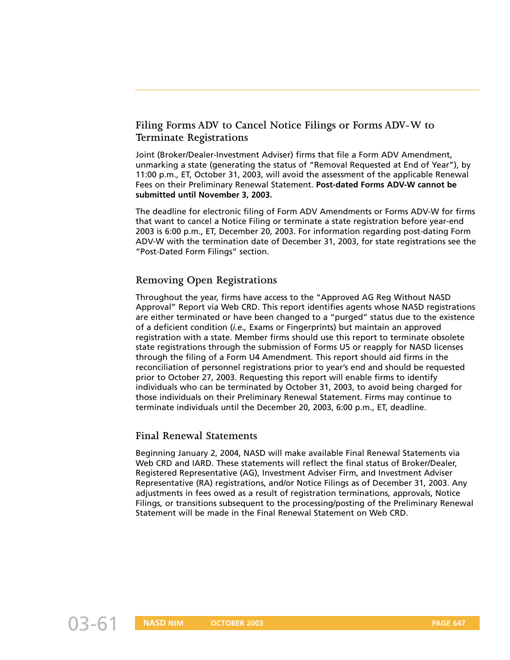# **Filing Forms ADV to Cancel Notice Filings or Forms ADV-W to Terminate Registrations**

Joint (Broker/Dealer-Investment Adviser) firms that file a Form ADV Amendment, unmarking a state (generating the status of "Removal Requested at End of Year"), by 11:00 p.m., ET, October 31, 2003, will avoid the assessment of the applicable Renewal Fees on their Preliminary Renewal Statement. **Post-dated Forms ADV-W cannot be submitted until November 3, 2003.**

The deadline for electronic filing of Form ADV Amendments or Forms ADV-W for firms that want to cancel a Notice Filing or terminate a state registration before year-end 2003 is 6:00 p.m., ET, December 20, 2003. For information regarding post-dating Form ADV-W with the termination date of December 31, 2003, for state registrations see the "Post-Dated Form Filings" section.

# **Removing Open Registrations**

Throughout the year, firms have access to the "Approved AG Reg Without NASD Approval" Report via Web CRD. This report identifies agents whose NASD registrations are either terminated or have been changed to a "purged" status due to the existence of a deficient condition (*i.e.,* Exams or Fingerprints) but maintain an approved registration with a state. Member firms should use this report to terminate obsolete state registrations through the submission of Forms U5 or reapply for NASD licenses through the filing of a Form U4 Amendment. This report should aid firms in the reconciliation of personnel registrations prior to year's end and should be requested prior to October 27, 2003. Requesting this report will enable firms to identify individuals who can be terminated by October 31, 2003, to avoid being charged for those individuals on their Preliminary Renewal Statement. Firms may continue to terminate individuals until the December 20, 2003, 6:00 p.m., ET, deadline.

# **Final Renewal Statements**

Beginning January 2, 2004, NASD will make available Final Renewal Statements via Web CRD and IARD. These statements will reflect the final status of Broker/Dealer, Registered Representative (AG), Investment Adviser Firm, and Investment Adviser Representative (RA) registrations, and/or Notice Filings as of December 31, 2003. Any adjustments in fees owed as a result of registration terminations, approvals, Notice Filings, or transitions subsequent to the processing/posting of the Preliminary Renewal Statement will be made in the Final Renewal Statement on Web CRD.